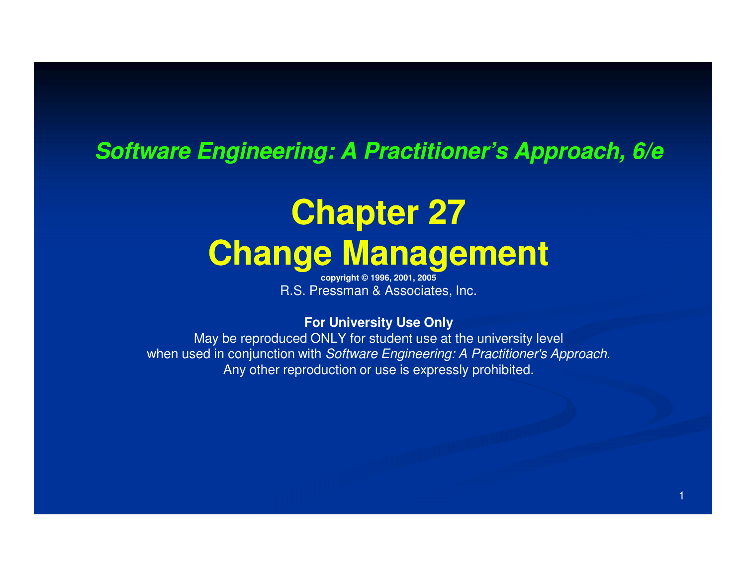#### **Software Engineering: A Practitioner's Approach, 6/e**

## **Chapter 27Change Management**

**copyright © 1996, 2001, 2005**R.S. Pressman & Associates, Inc.

#### **For University Use Only**

 May be reproduced ONLY for student use at the university levelwhen used in conjunction with Software Engineering: A Practitioner's Approach. Any other reproduction or use is expressly prohibited.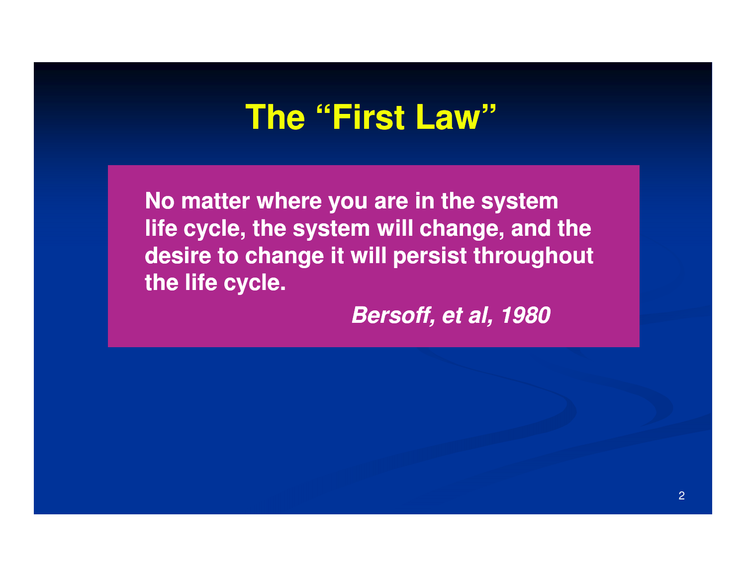### **The "First Law"**

**No matter where you are in the system life cycle, the system will change, and the desire to change it will persist throughout the life cycle.**

**Bersoff, et al, 1980**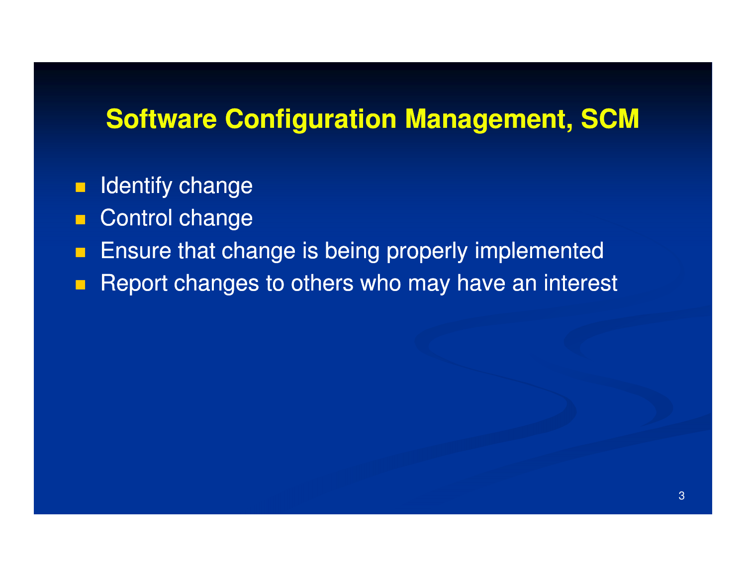#### **Software Configuration Management, SCM**

- π Identify change
- $\blacksquare$ Control change
- **Ensure that change is being properly implemented**  $\blacksquare$
- Report changes to others who may have an interest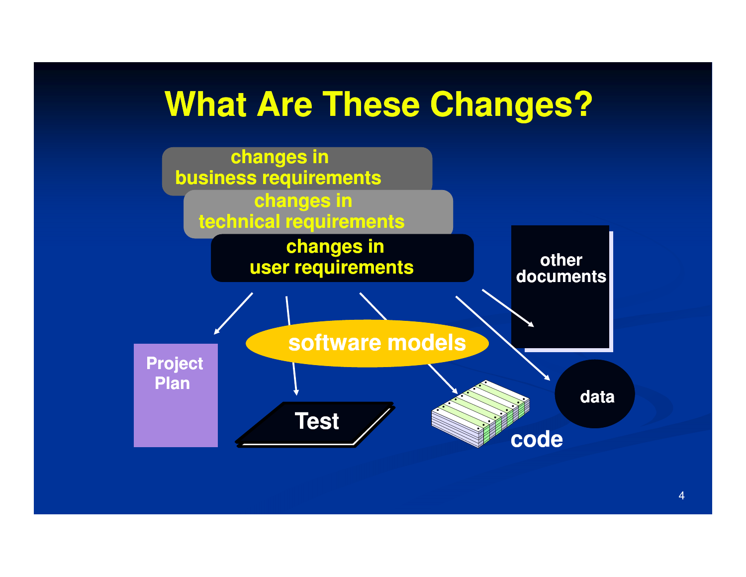### **What Are These Changes?**

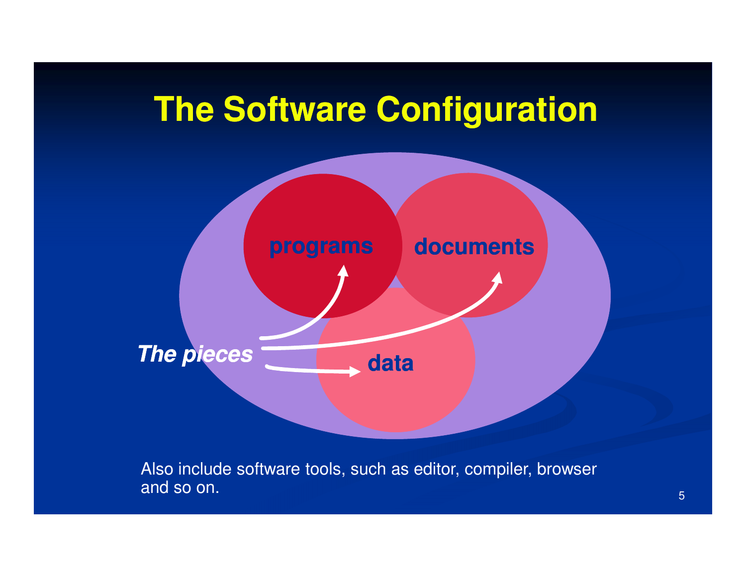



Also include software tools, such as editor, compiler, browser and so on.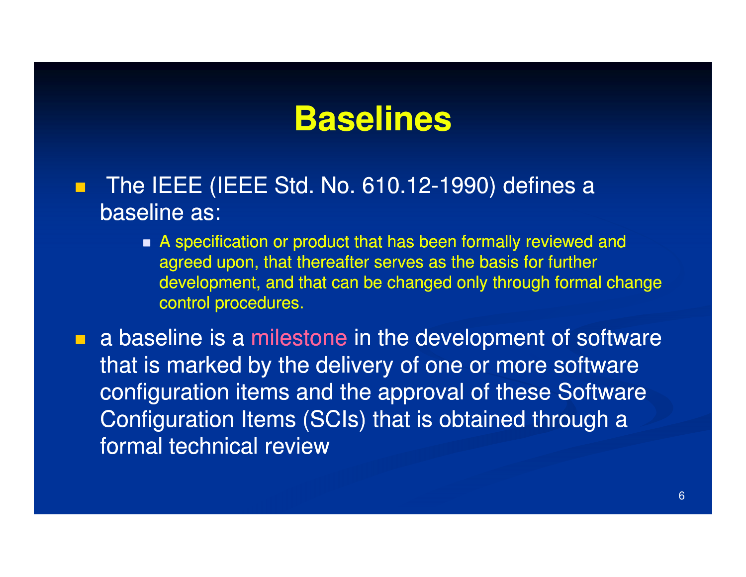#### **Baselines**

- П The IEEE (IEEE Std. No. 610.12-1990) defines a baseline as:
	- A specification or product that has been formally reviewed and agreed upon, that thereafter serves as the basis for further development, and that can be changed only through formal change control procedures.

**a** baseline is a milestone in the development of software that is marked by the delivery of one or more software configuration items and the approval of these Software Configuration Items (SCIs) that is obtained through a formal technical review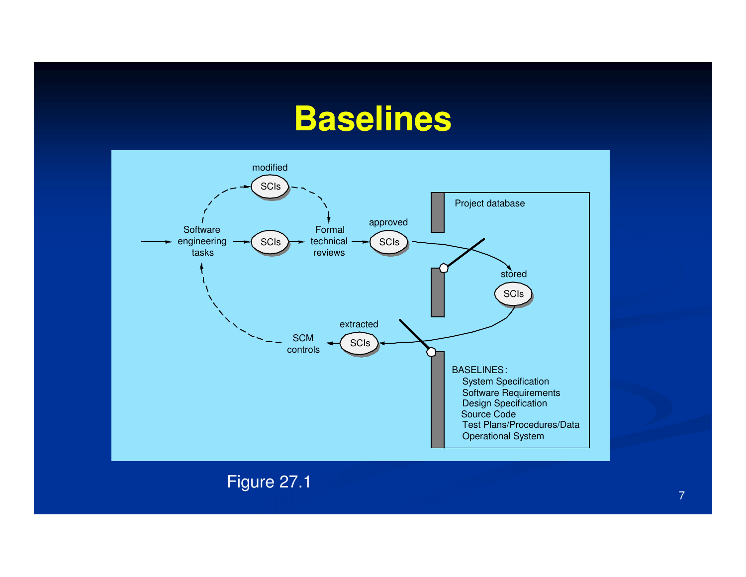#### **Baselines**



Figure 27.1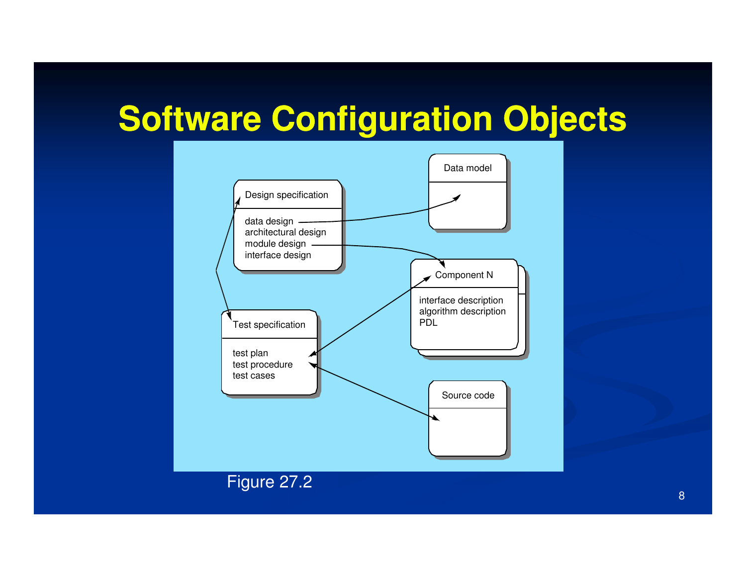## **Software Configuration Objects**



8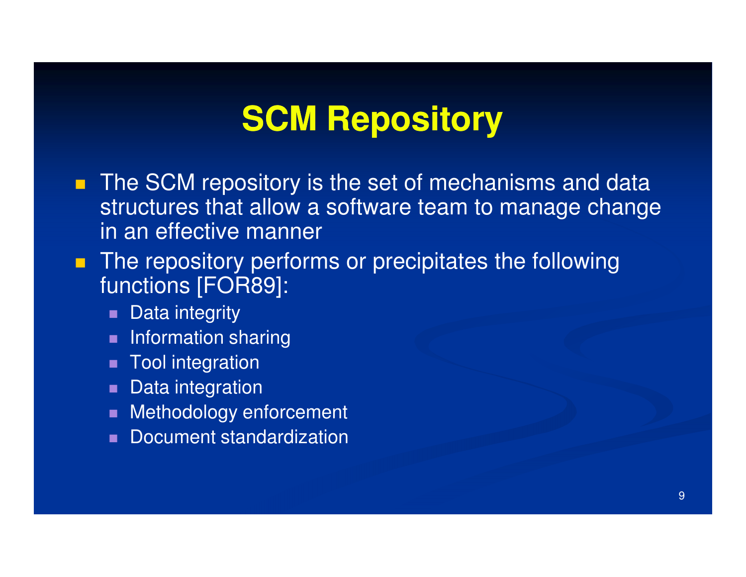## **SCM Repository**

- **The SCM repository is the set of mechanisms and data** structures that allow a software team to manage change in an effective manner
- The repository performs or precipitates the following functions [FOR89]:
	- $\blacksquare$ Data integrity
	- Information sharing
	- Tool integration
	- **Data integration**
	- **Rethodology enforcement**
	- Document standardization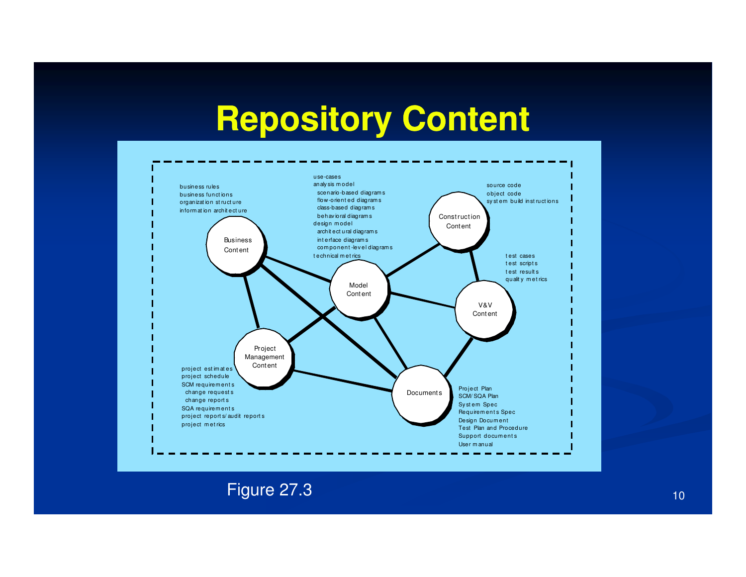## **Repository Content**



Figure 27.3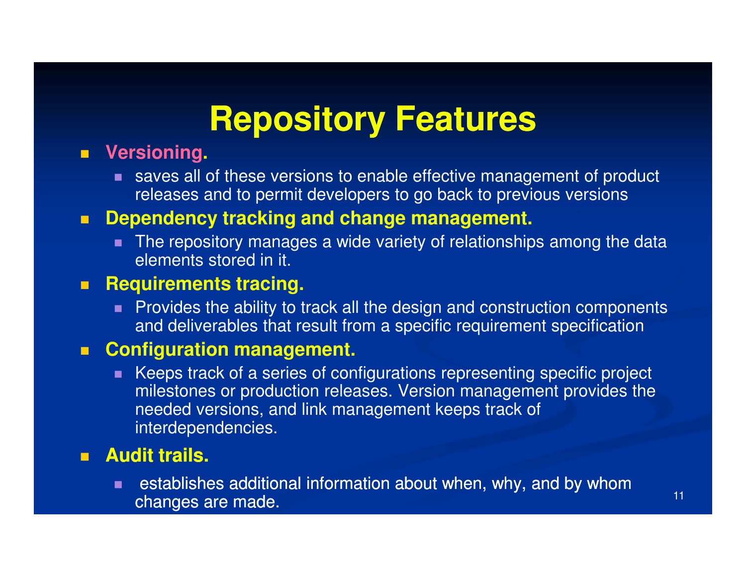## **Repository Features**

#### **Versioning.**

■ saves all of these versions to enable effective management of product releases and to permit developers to go back to previous versions

#### **Dependency tracking and change management.**

■ The repository manages a wide variety of relationships among the data elements stored in it.

#### $\blacksquare$ **Requirements tracing.**

■ Provides the ability to track all the design and construction components and deliverables that result from a specific requirement specification

#### **EXA** Configuration management.

 $\blacksquare$  Keeps track of a series of configurations representing specific project milestones or production releases. Version management provides the needed versions, and link management keeps track of interdependencies.

#### **Audit trails.**

 establishes additional information about when, why, and by whom changes are made.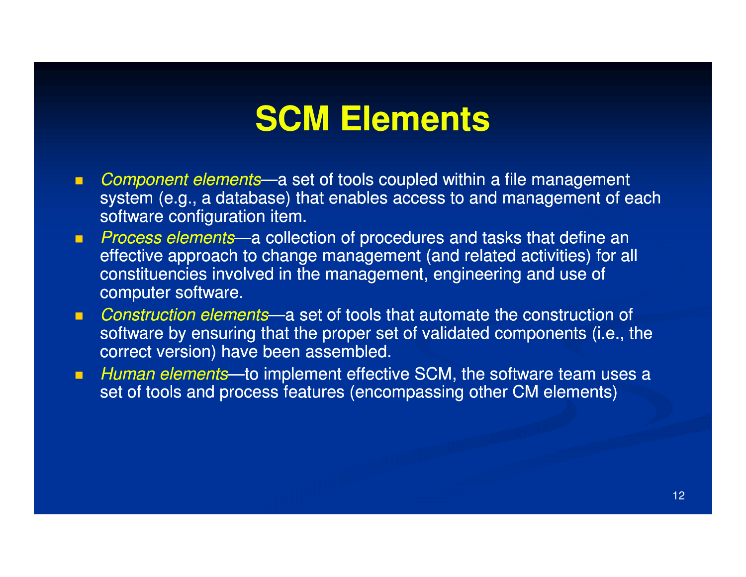### **SCM Elements**

- $\blacksquare$ Component elements—a set of tools coupled within a file management system (e.g., a database) that enables access to and management of each software configuration item.
- **Process elements—a collection of procedures and tasks that define an and an and an analyzing system** effective approach to change management (and related activities) for all constituencies involved in the management, engineering and use of computer software.
- Construction elements—a set of tools that automate the construction of software by ensuring that the proper set of validated components (i.e., the correct version) have been assembled.
- п Human elements—to implement effective SCM, the software team uses a set of tools and process features (encompassing other CM elements)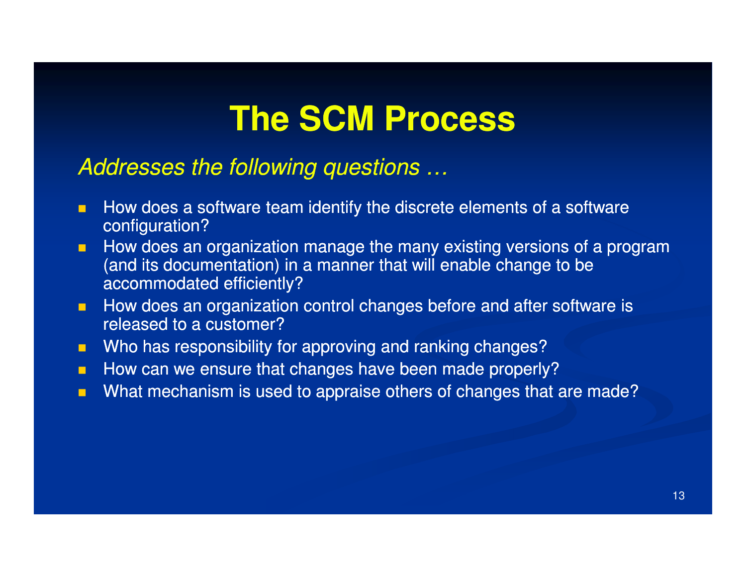### **The SCM Process**

#### Addresses the following questions …

- $\blacksquare$  How does a software team identify the discrete elements of a software configuration?
- $\blacksquare$  How does an organization manage the many existing versions of a program (and its documentation) in a manner that will enable change to be accommodated efficiently?
- How does an organization control changes before and after software is  $\blacksquare$ released to a customer?
- **Nimity 19 Theorge Starfs and Times Starts and Fig. 3** Who has responsibility for approving and ranking changes?  $\blacksquare$
- $\blacksquare$ How can we ensure that changes have been made properly?
- **Nhat mechanism is used to appraise others of changes that are made?**  $\blacksquare$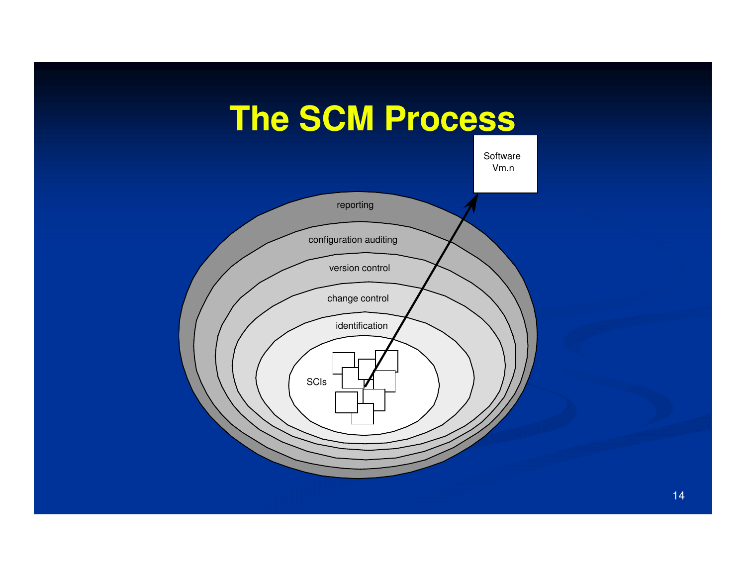



14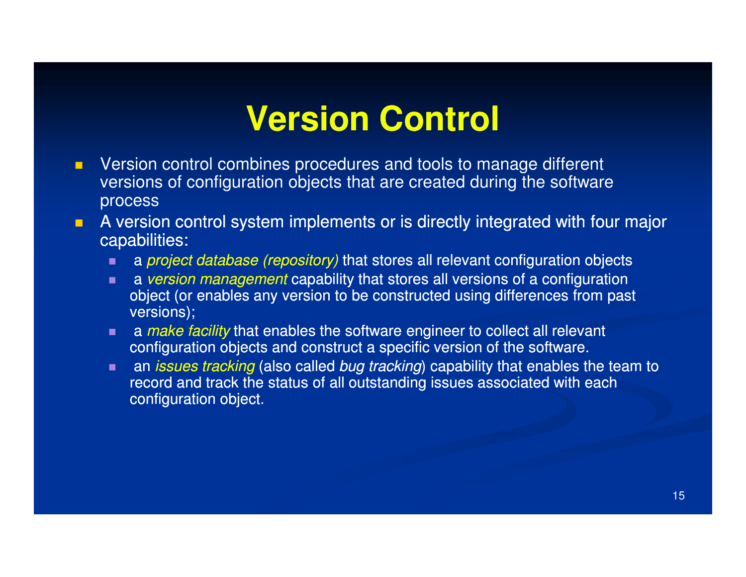## **Version Control**

- $\blacksquare$  Version control combines procedures and tools to manage different versions of configuration objects that are created during the software process
- **A** version control system implements or is directly integrated with four major **C** C capabilities:
	- $\blacksquare$ a *project database (repository)* that stores all relevant configuration objects
	- **a** version management capability that stores all versions of a configuration object (or enables any version to be constructed using differences from past versions);
	- **a** make facility that enables the software engineer to collect all relevant configuration objects and construct a specific version of the software.
	- $\blacksquare$ an *issues tracking* (also called *bug tracking*) capability that enables the team to record and track the status of all outstanding issues associated with each configuration object.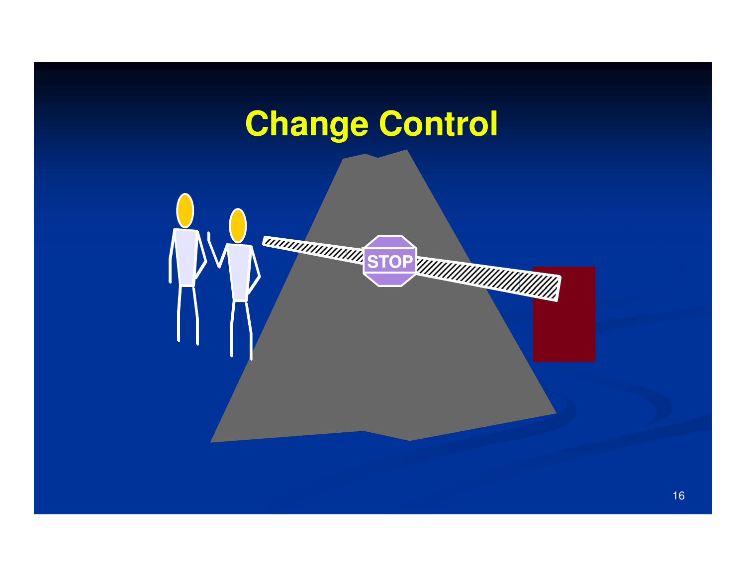## **Change Control**

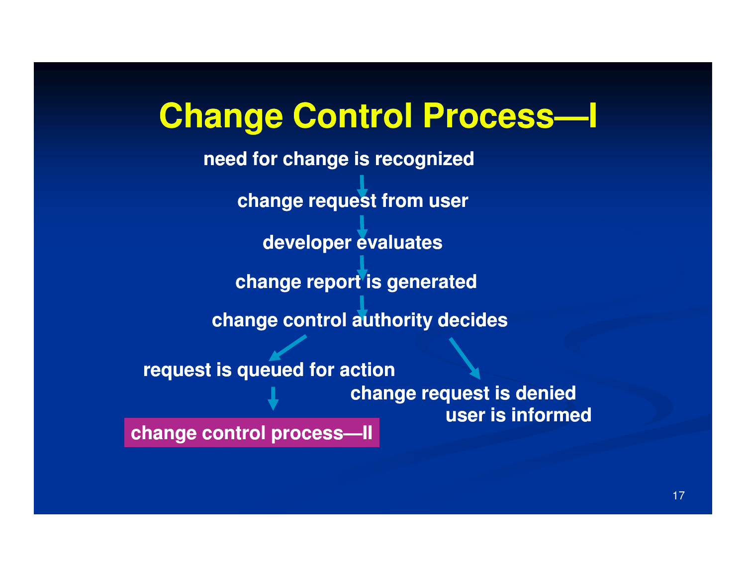# **Change Control Process Process—I**

**change request from userdeveloper evaluateschange report is generatedneed for change is recognizedchange control authority decidesrequest is queued for action change request is denied user is informedchange control process process—II**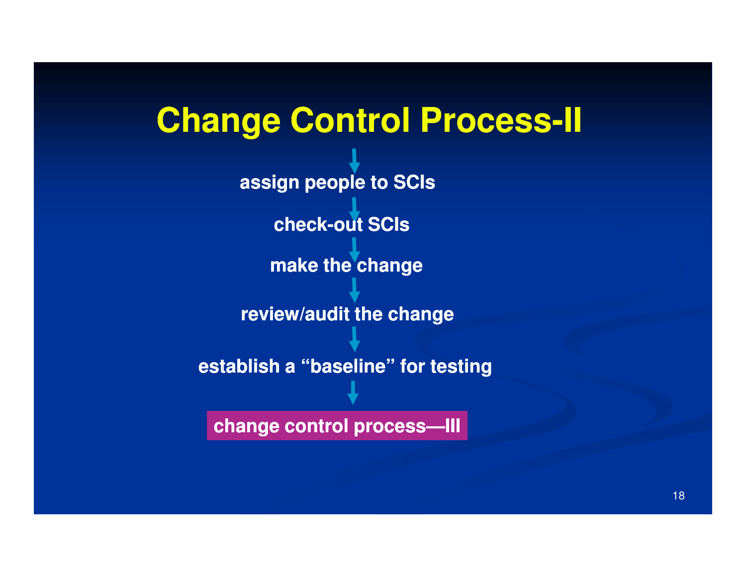# **Change Control Process-II**

**assign people to SCIs**

**check-out SCIs out** 

**make the change**

**review/audit the change**

**establish a "baseline" for testing**

**change control process process—III**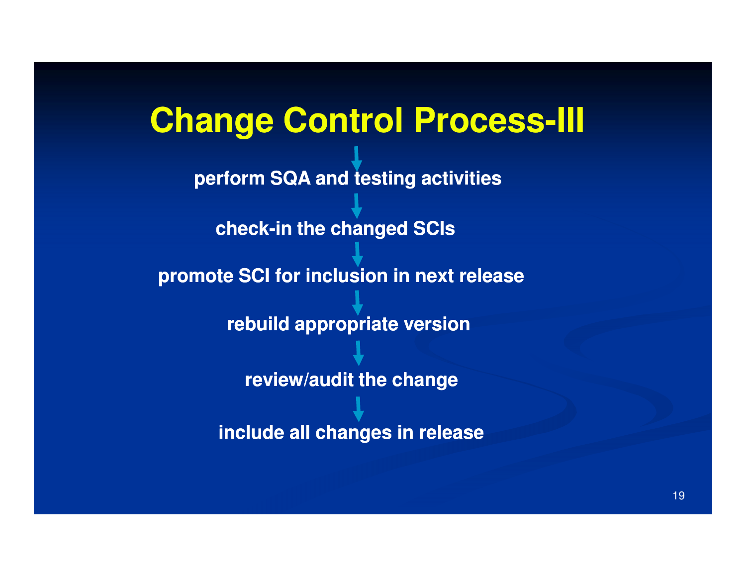# **Change Control Process Process-III perform SQA and testing activitiespromote SCI for inclusion in next releasecheck-in the changed SCIs in rebuild appropriate versionreview/audit the changeinclude all changes in release**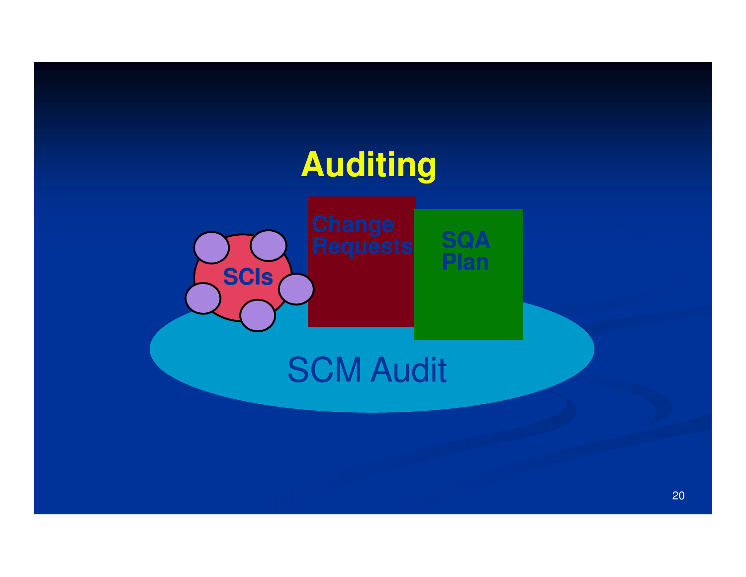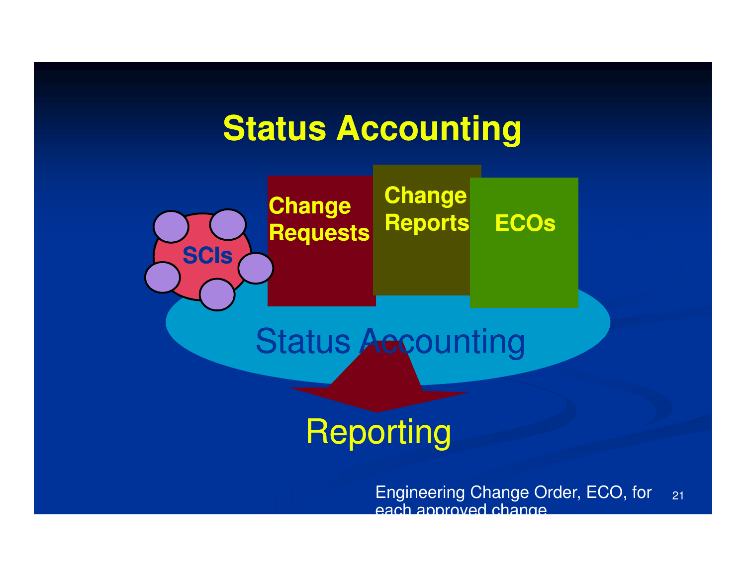### **Status Accounting**



Reporting

21Engineering Change Order, ECO, for each approved change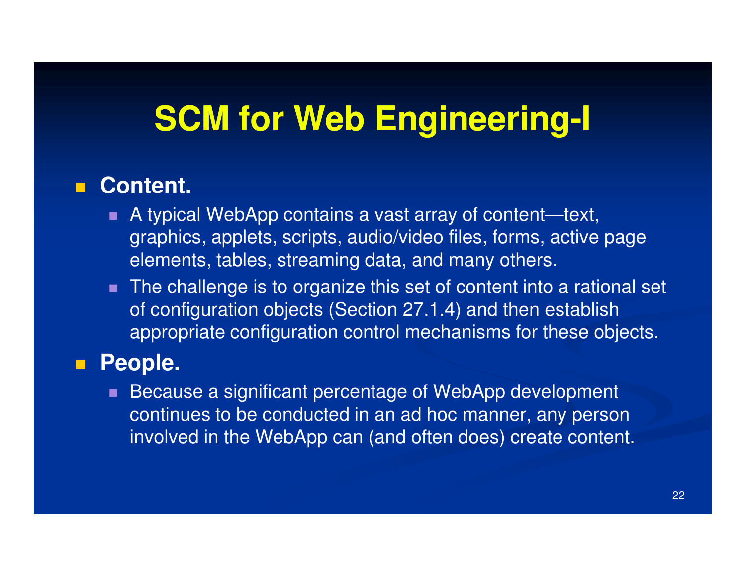# **SCM for Web Engineering-I**

#### г **Content.**

- A typical WebApp contains a vast array of content—text, graphics, applets, scripts, audio/video files, forms, active page elements, tables, streaming data, and many others.
- The challenge is to organize this set of content into a rational set of configuration objects (Section 27.1.4) and then establish appropriate configuration control mechanisms for these objects.

#### $\blacksquare$ **People.**

 Because a significant percentage of WebApp development continues to be conducted in an ad hoc manner, any person involved in the WebApp can (and often does) create content.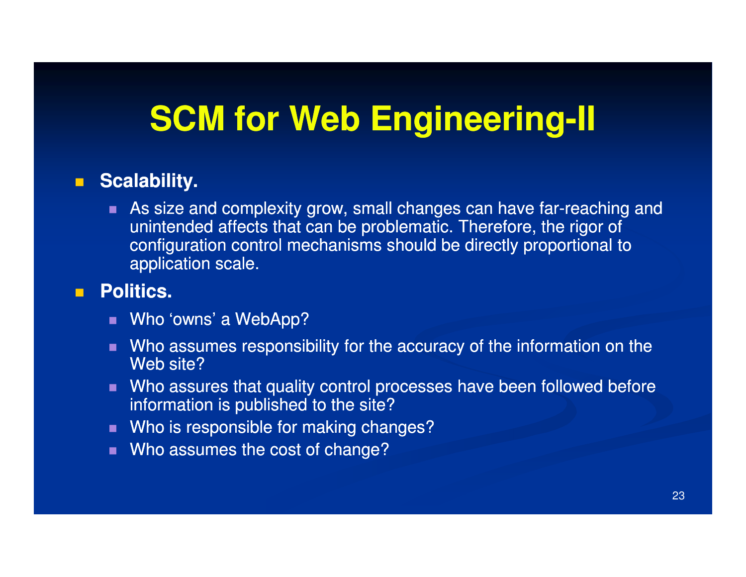# **SCM for Web Engineering-II**

#### **Scalability.**

 $\blacksquare$ As size and complexity grow, small changes can have far-reaching and unintended affects that can be problematic. Therefore, the rigor of configuration control mechanisms should be directly proportional to application scale.

#### $\blacksquare$ **Politics.**

- Who 'owns' a WebApp?
- Who assumes responsibility for the accuracy of the information on the Web site?
- Who assures that quality control processes have been followed before information is published to the site?
- Who is responsible for making changes?
- Who assumes the cost of change?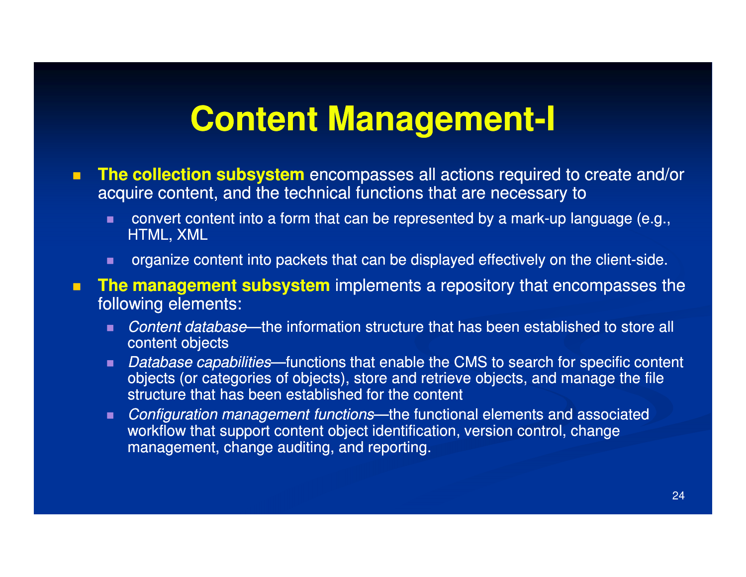## **Content Management-I**

- $\blacksquare$ **The collection subsystem** encompasses all actions required to create and/or<br>acquire content, and the technical functions that are necessary to acquire content, and the technical functions that are necessary to
	- п convert content into a form that can be represented by a mark-up language (e.g., HTML, XML
	- п organize content into packets that can be displayed effectively on the client-side.
- $\blacksquare$ **The management subsystem** implements a repository that encompasses the following elements: following elements:
	- Content database—the information structure that has been established to store all content objects
	- Database capabilities—functions that enable the CMS to search for specific content objects (or categories of objects), store and retrieve objects, and manage the file structure that has been established for the content
	- Configuration management functions—the functional elements and associated workflow that support content object identification, version control, change management, change auditing, and reporting.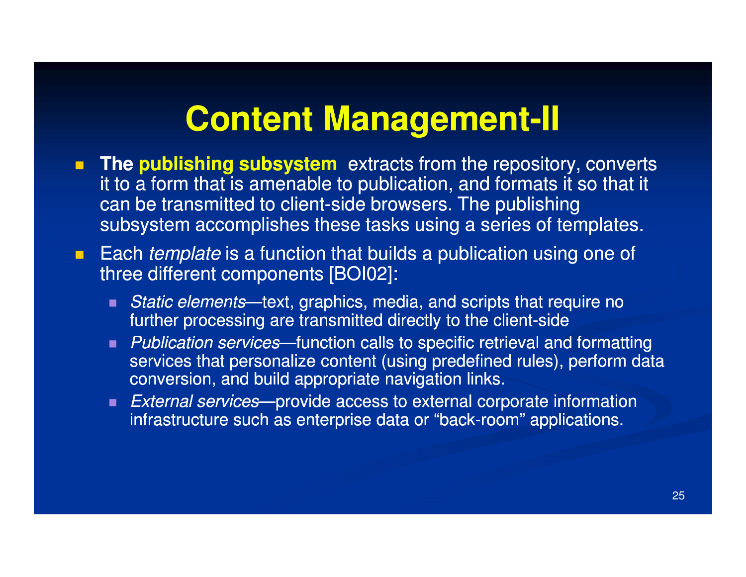## **Content Management-II**

- **The publishing subsystem** extracts from the repository, converts<br>it to a form that is amenable to publication, and formats it so that it it to a form that is amenable to publication, and formats it so that it can be transmitted to client-side browsers. The publishing subsystem accomplishes these tasks using a series of templates.
- **Each** *template* is a function that builds a publication using one of three different components [BOI02]:
	- Static elements—text, graphics, media, and scripts that require no further processing are transmitted directly to the client-side
	- **Publication services—function calls to specific retrieval and formatting**  $\blacksquare$ services that personalize content (using predefined rules), perform data conversion, and build appropriate navigation links.
	- External services—provide access to external corporate information infrastructure such as enterprise data or "back-room" applications.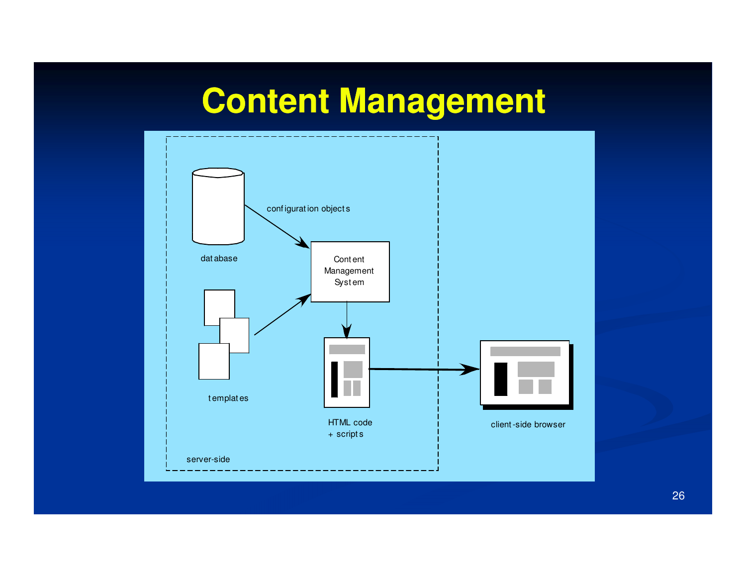# **Content Management**



26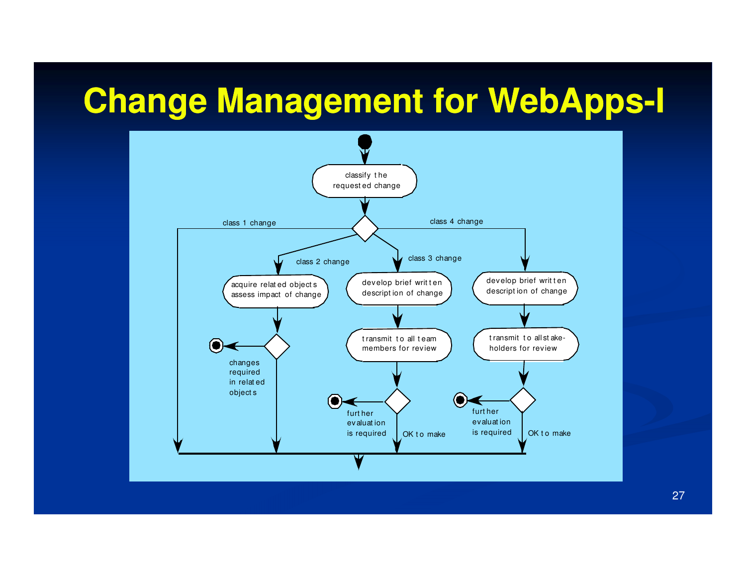# **Change Management for WebApps-I**



27